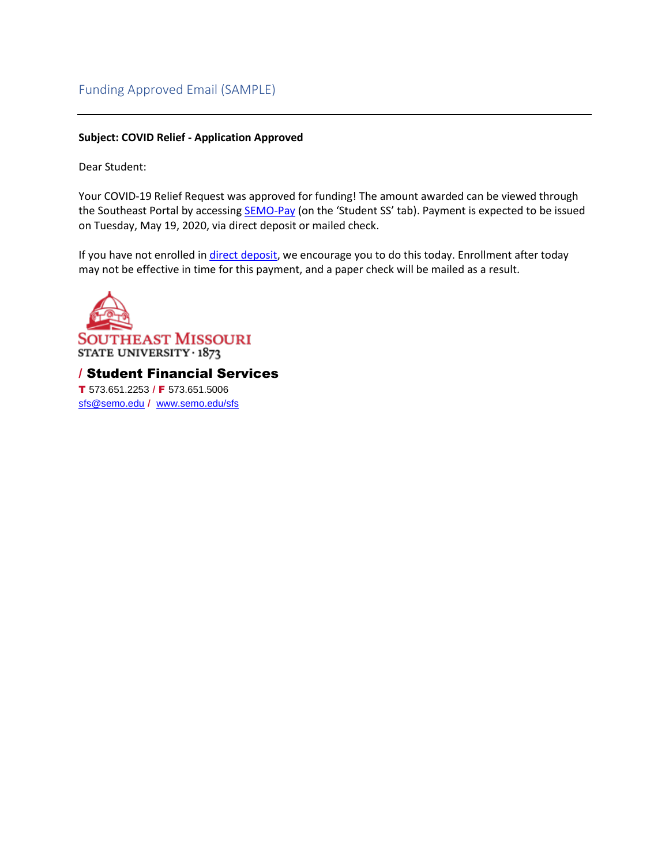### Funding Approved Email (SAMPLE)

#### **Subject: COVID Relief - Application Approved**

Dear Student:

Your COVID-19 Relief Request was approved for funding! The amount awarded can be viewed through the Southeast Portal by accessing [SEMO-Pay](https://semo.edu/sfs/pdf/SemoPayAccountSummary.pdf) (on the 'Student SS' tab). Payment is expected to be issued on Tuesday, May 19, 2020, via direct deposit or mailed check.

If you have not enrolled in [direct deposit,](https://semo.edu/sfs/pdf/DirectDepositInstructions.pdf) we encourage you to do this today. Enrollment after today may not be effective in time for this payment, and a paper check will be mailed as a result.

**SOUTHEAST MISSOURI** STATE UNIVERSITY 1873 / Student Financial Services

T 573.651.2253 / F 573.651.5006 [sfs@semo.edu](mailto:sfs@semo.edu) / [www.semo.edu/sfs](http://www.semo.edu/sfs)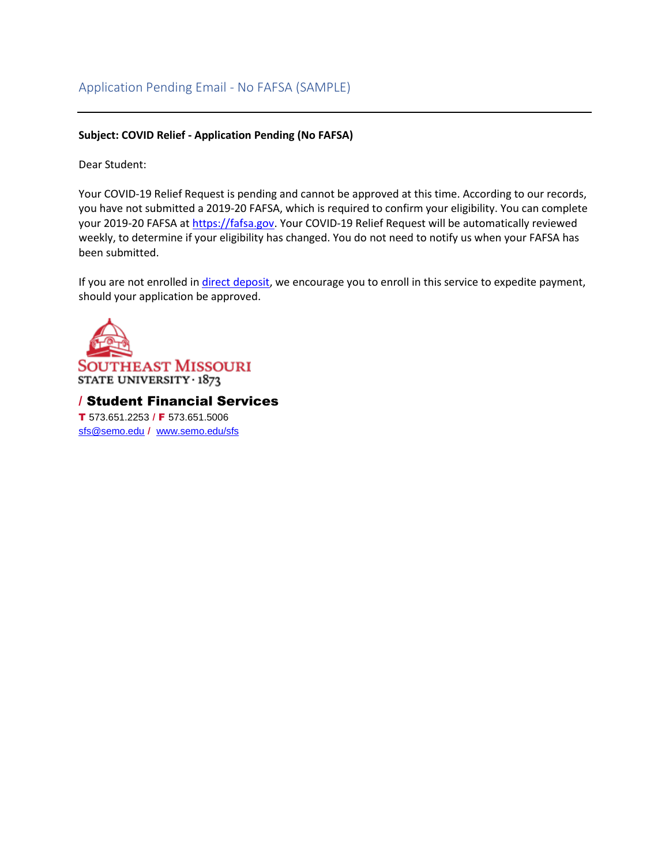# Application Pending Email - No FAFSA (SAMPLE)

### **Subject: COVID Relief - Application Pending (No FAFSA)**

Dear Student:

Your COVID-19 Relief Request is pending and cannot be approved at this time. According to our records, you have not submitted a 2019-20 FAFSA, which is required to confirm your eligibility. You can complete your 2019-20 FAFSA at [https://fafsa.gov.](https://fafsa.gov/) Your COVID-19 Relief Request will be automatically reviewed weekly, to determine if your eligibility has changed. You do not need to notify us when your FAFSA has been submitted.

If you are not enrolled in *direct deposit*, we encourage you to enroll in this service to expedite payment, should your application be approved.



/ Student Financial Services T 573.651.2253 / F 573.651.5006 [sfs@semo.edu](mailto:sfs@semo.edu) / [www.semo.edu/sfs](http://www.semo.edu/sfs)